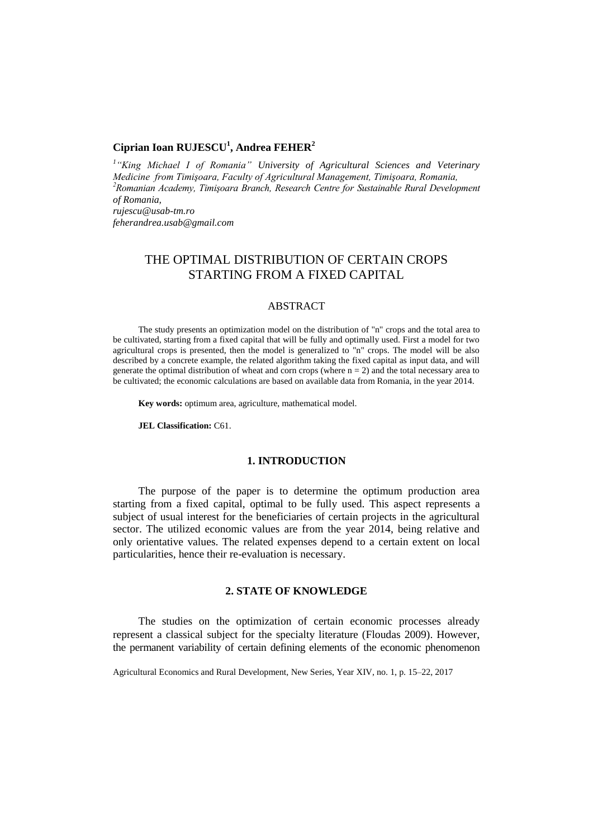# **Ciprian Ioan RUJESCU<sup>1</sup> , Andrea FEHER<sup>2</sup>**

*1 "King Michael I of Romania" University of Agricultural Sciences and Veterinary Medicine from Timişoara, Faculty of Agricultural Management, Timişoara, Romania, <sup>2</sup>Romanian Academy, Timişoara Branch, Research Centre for Sustainable Rural Development of Romania, rujescu@usab-tm.ro feherandrea.usab@gmail.com*

# THE OPTIMAL DISTRIBUTION OF CERTAIN CROPS STARTING FROM A FIXED CAPITAL

### ABSTRACT

The study presents an optimization model on the distribution of "n" crops and the total area to be cultivated, starting from a fixed capital that will be fully and optimally used. First a model for two agricultural crops is presented, then the model is generalized to "n" crops. The model will be also described by a concrete example, the related algorithm taking the fixed capital as input data, and will generate the optimal distribution of wheat and corn crops (where  $n = 2$ ) and the total necessary area to be cultivated; the economic calculations are based on available data from Romania, in the year 2014.

**Key words:** optimum area, agriculture, mathematical model.

**JEL Classification:** C61.

#### **1. INTRODUCTION**

The purpose of the paper is to determine the optimum production area starting from a fixed capital, optimal to be fully used. This aspect represents a subject of usual interest for the beneficiaries of certain projects in the agricultural sector. The utilized economic values are from the year 2014, being relative and only orientative values. The related expenses depend to a certain extent on local particularities, hence their re-evaluation is necessary.

### **2. STATE OF KNOWLEDGE**

The studies on the optimization of certain economic processes already represent a classical subject for the specialty literature (Floudas 2009). However, the permanent variability of certain defining elements of the economic phenomenon

Agricultural Economics and Rural Development, New Series, Year XIV, no. 1, p. 15–22, 2017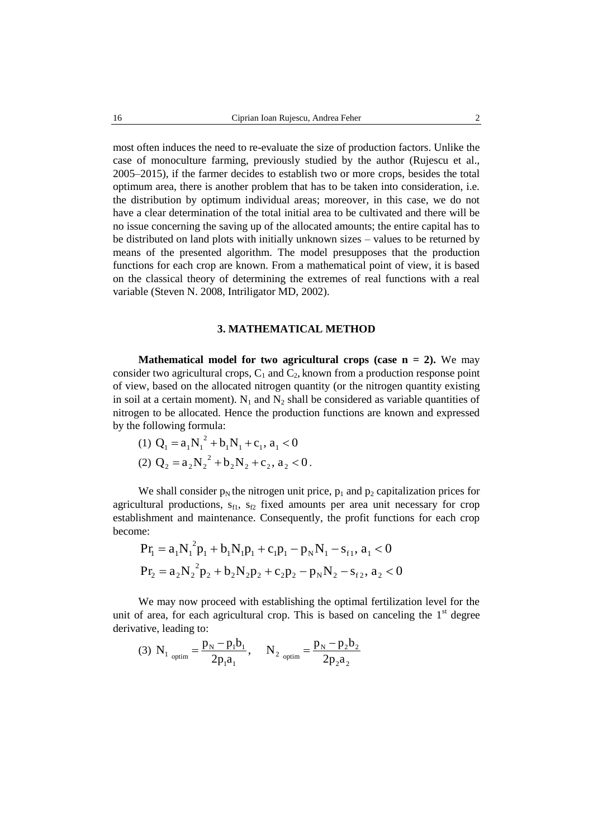most often induces the need to re-evaluate the size of production factors. Unlike the case of monoculture farming, previously studied by the author (Rujescu et al., 2005–2015), if the farmer decides to establish two or more crops, besides the total optimum area, there is another problem that has to be taken into consideration, i.e. the distribution by optimum individual areas; moreover, in this case, we do not have a clear determination of the total initial area to be cultivated and there will be no issue concerning the saving up of the allocated amounts; the entire capital has to be distributed on land plots with initially unknown sizes – values to be returned by means of the presented algorithm. The model presupposes that the production functions for each crop are known. From a mathematical point of view, it is based on the classical theory of determining the extremes of real functions with a real variable (Steven N. 2008, Intriligator MD, 2002).

#### **3. MATHEMATICAL METHOD**

**Mathematical model for two agricultural crops (case**  $n = 2$ **).** We may consider two agricultural crops,  $C_1$  and  $C_2$ , known from a production response point of view, based on the allocated nitrogen quantity (or the nitrogen quantity existing in soil at a certain moment).  $N_1$  and  $N_2$  shall be considered as variable quantities of nitrogen to be allocated. Hence the production functions are known and expressed by the following formula:

(1) 
$$
Q_1 = a_1 N_1^2 + b_1 N_1 + c_1, a_1 < 0
$$
  
(2)  $Q_2 = a_2 N_2^2 + b_2 N_2 + c_2, a_2 < 0$ .

We shall consider  $p_N$  the nitrogen unit price,  $p_1$  and  $p_2$  capitalization prices for agricultural productions,  $s_{f1}$ ,  $s_{f2}$  fixed amounts per area unit necessary for crop establishment and maintenance. Consequently, the profit functions for each crop become:

$$
Pr_{1} = a_{1}N_{1}^{2}p_{1} + b_{1}N_{1}p_{1} + c_{1}p_{1} - p_{N}N_{1} - s_{f1}, a_{1} < 0
$$
  
\n
$$
Pr_{2} = a_{2}N_{2}^{2}p_{2} + b_{2}N_{2}p_{2} + c_{2}p_{2} - p_{N}N_{2} - s_{f2}, a_{2} < 0
$$

We may now proceed with establishing the optimal fertilization level for the unit of area, for each agricultural crop. This is based on canceling the  $1<sup>st</sup>$  degree derivative, leading to:

(3) N<sub>1 optim</sub> = 
$$
\frac{p_N - p_1 b_1}{2p_1 a_1}
$$
, N<sub>2 optim</sub> =  $\frac{p_N - p_2 b_2}{2p_2 a_2}$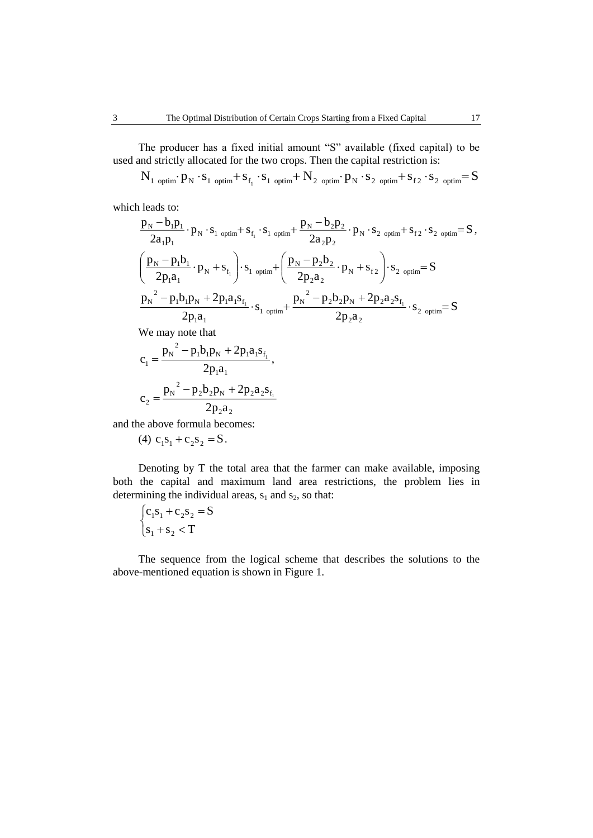The producer has a fixed initial amount "S" available (fixed capital) to be used and strictly allocated for the two crops. Then the capital restriction is:

 $\rm N_{1\,\,\,optim}\!\cdot\! p_{N}\cdot\! s_{1\,\,\,optim}\!\!+s_{f_{1}}\cdot\! s_{1\,\,\,optim}\!\!+N_{2\,\,\,\,optim}\!\cdot\! p_{N}\cdot\! s_{2\,\,\,\,optim}\!\!+s_{f_{2}}\cdot\! s_{2\,\,\,\,optim}\!\!=\!S$ 

which leads to:

$$
\frac{p_{N} - b_{1}p_{1}}{2a_{1}p_{1}} \cdot p_{N} \cdot s_{1 \text{ optim}} + s_{f_{1}} \cdot s_{1 \text{ optim}} + \frac{p_{N} - b_{2}p_{2}}{2a_{2}p_{2}} \cdot p_{N} \cdot s_{2 \text{ optim}} + s_{f_{2}} \cdot s_{2 \text{ optim}} = S,
$$
\n
$$
\left(\frac{p_{N} - p_{1}b_{1}}{2p_{1}a_{1}} \cdot p_{N} + s_{f_{1}}\right) \cdot s_{1 \text{ optim}} + \left(\frac{p_{N} - p_{2}b_{2}}{2p_{2}a_{2}} \cdot p_{N} + s_{f_{2}}\right) \cdot s_{2 \text{ optim}} = S
$$
\n
$$
\frac{p_{N}^{2} - p_{1}b_{1}p_{N} + 2p_{1}a_{1}s_{f_{1}}}{2p_{1}a_{1}} \cdot s_{1 \text{ optim}} + \frac{p_{N}^{2} - p_{2}b_{2}p_{N} + 2p_{2}a_{2}s_{f_{1}}}{2p_{2}a_{2}} \cdot s_{2 \text{ optim}} = S
$$

We may note that

$$
c_1 = \frac{p_N^2 - p_1 b_1 p_N + 2 p_1 a_1 s_{f_1}}{2 p_1 a_1},
$$
  

$$
c_2 = \frac{p_N^2 - p_2 b_2 p_N + 2 p_2 a_2 s_{f_1}}{2 p_2 a_2}
$$

and the above formula becomes:

(4)  $c_1s_1 + c_2s_2 = S$ .

Denoting by T the total area that the farmer can make available, imposing both the capital and maximum land area restrictions, the problem lies in determining the individual areas,  $s_1$  and  $s_2$ , so that:

$$
\begin{cases} c_1 s_1 + c_2 s_2 = S \\ s_1 + s_2 < T \end{cases}
$$

The sequence from the logical scheme that describes the solutions to the above-mentioned equation is shown in Figure 1.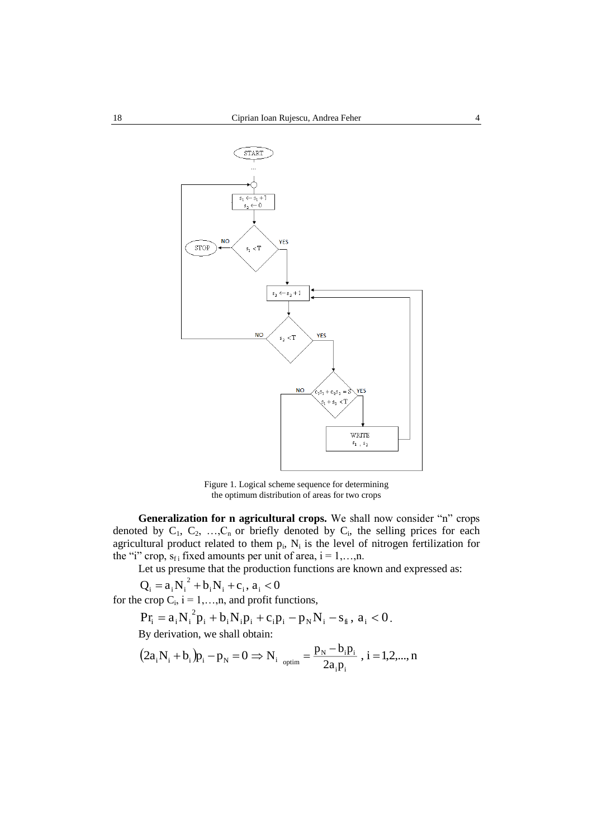

Figure 1. Logical scheme sequence for determining the optimum distribution of areas for two crops

**Generalization for n agricultural crops.** We shall now consider "n" crops denoted by  $C_1$ ,  $C_2$ , ...,  $C_n$  or briefly denoted by  $C_i$ , the selling prices for each agricultural product related to them  $p_i$ ,  $N_i$  is the level of nitrogen fertilization for the "i" crop,  $s_{fi}$  fixed amounts per unit of area,  $i = 1,...,n$ .

Let us presume that the production functions are known and expressed as:

$$
Q_i = a_i N_i^2 + b_i N_i + c_i, a_i < 0
$$

for the crop  $C_i$ ,  $i = 1,...,n$ , and profit functions,

$$
Pr_{i} = a_{i} N_{i}^{2} p_{i} + b_{i} N_{i} p_{i} + c_{i} p_{i} - p_{N} N_{i} - s_{i} , a_{i} < 0.
$$

By derivation, we shall obtain:

$$
(2a_iN_i + b_i)p_i - p_N = 0 \Rightarrow N_i_{\text{optim}} = \frac{p_N - b_i p_i}{2a_i p_i}, i = 1, 2, ..., n
$$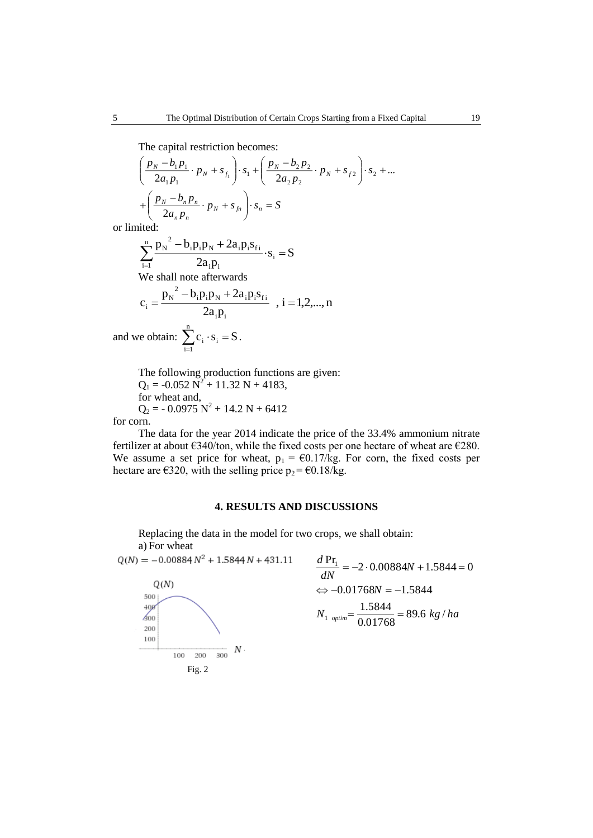The capital restriction becomes:

$$
\left(\frac{p_N - b_1 p_1}{2a_1 p_1} \cdot p_N + s_{f_1}\right) \cdot s_1 + \left(\frac{p_N - b_2 p_2}{2a_2 p_2} \cdot p_N + s_{f2}\right) \cdot s_2 + \dots + \left(\frac{p_N - b_n p_n}{2a_n p_n} \cdot p_N + s_{f_n}\right) \cdot s_n = S
$$

or limited:

$$
\sum_{i=1}^{n} \frac{p_N^2 - b_i p_i p_N + 2a_i p_i s_{fi}}{2a_i p_i} \cdot s_i = S
$$
  
We shall note afterwards  

$$
c_i = \frac{p_N^2 - b_i p_i p_N + 2a_i p_i s_{fi}}{2a_i p_i} , i = 1, 2, ..., n
$$
  
we obtain: 
$$
\sum_{i=1}^{n} c_i \cdot s_i = S.
$$

The following production functions are given:  $Q_1 = -0.052 \text{ N}^2 + 11.32 \text{ N} + 4183,$ for wheat and,  $Q_2$  = - 0.0975  $N^2$  + 14.2 N + 6412

for corn.

and

The data for the year 2014 indicate the price of the 33.4% ammonium nitrate fertilizer at about  $6340/$ ton, while the fixed costs per one hectare of wheat are  $6280$ . We assume a set price for wheat,  $p_1 = \text{\textsterling}0.17/\text{kg}$ . For corn, the fixed costs per hectare are  $\epsilon$ 320, with the selling price  $p_2 = \epsilon$ 0.18/kg.

## **4. RESULTS AND DISCUSSIONS**

Replacing the data in the model for two crops, we shall obtain: a) For wheat

 $Q(N) = -0.00884 N^2 + 1.5844 N + 431.11$ 



$$
\frac{d \Pr_1}{dN} = -2.000884N + 1.5844 = 0
$$
  

$$
\Leftrightarrow -0.01768N = -1.5844
$$
  

$$
N_{1 \text{ optimal}} = \frac{1.5844}{0.01768} = 89.6 \text{ kg/ha}
$$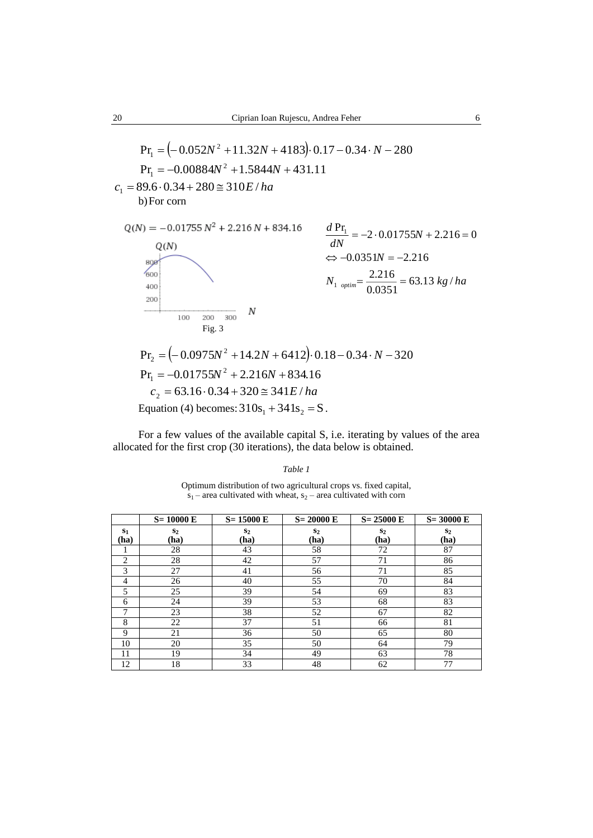$$
Pr_{I} = (-0.052N^{2} + 11.32N + 4183) \cdot 0.17 - 0.34 \cdot N - 280
$$
  
\n
$$
Pr_{I} = -0.00884N^{2} + 1.5844N + 431.11
$$
  
\n
$$
c_{1} = 89.6 \cdot 0.34 + 280 \approx 310E/ha
$$
  
\n
$$
Q(N) = -0.01755 N^{2} + 2.216 N + 834.16
$$
  
\n
$$
Q(N) = -0.01755 N^{2} + 2.216 N + 834.16
$$
  
\n
$$
rac{d Pr_{I}}{dN} = -2 \cdot 0.01755N + 2.216 = 0
$$
  
\n
$$
Q(N) \iff Q(N)
$$
  
\n
$$
= -2.216
$$
  
\n
$$
N_{1 \text{ optimal}} = \frac{2.216}{0.0351} = 63.13 kg/ha
$$

$$
N
$$
  
\n100 200 300 N  
\nFig. 3  
\nPr<sub>2</sub> = (-0.0975N<sup>2</sup> + 14.2N + 6412) · 0.18 - 0.34 · N - 320  
\nPr<sub>1</sub> = -0.01755N<sup>2</sup> + 2.216N + 834.16  
\n $c_2$  = 63.16 · 0.34 + 320  $\cong$  341*E/ha*  
\nEquation (4) becomes: 310s<sub>1</sub> + 341s<sub>2</sub> = S.

For a few values of the available capital S, i.e. iterating by values of the area allocated for the first crop (30 iterations), the data below is obtained.

| Table 1                                                                                                                                    |
|--------------------------------------------------------------------------------------------------------------------------------------------|
| Optimum distribution of two agricultural crops vs. fixed capital,<br>$s_1$ – area cultivated with wheat, $s_2$ – area cultivated with corn |

|               | $S = 10000 E$ | $S = 15000 E$ | $S = 20000 E$ | $S = 25000$ E | $S = 30000 E$          |
|---------------|---------------|---------------|---------------|---------------|------------------------|
| $S_1$<br>(ha) | $S_2$<br>(ha) | $S_2$<br>(ha) | $S_2$<br>(ha) | $S_2$<br>(ha) | S <sub>2</sub><br>(ha) |
|               | 28            | 43            | 58            | 72            | 87                     |
| 2             | 28            | 42            | 57            | 71            | 86                     |
| 3             | 27            | 41            | 56            | 71            | 85                     |
| 4             | 26            | 40            | 55            | 70            | 84                     |
| 5             | 25            | 39            | 54            | 69            | 83                     |
| 6             | 24            | 39            | 53            | 68            | 83                     |
| ┑             | 23            | 38            | 52            | 67            | 82                     |
| 8             | 22            | 37            | 51            | 66            | 81                     |
| 9             | 21            | 36            | 50            | 65            | 80                     |
| 10            | 20            | 35            | 50            | 64            | 79                     |
| 11            | 19            | 34            | 49            | 63            | 78                     |
| 12            | 18            | 33            | 48            | 62            | 77                     |

200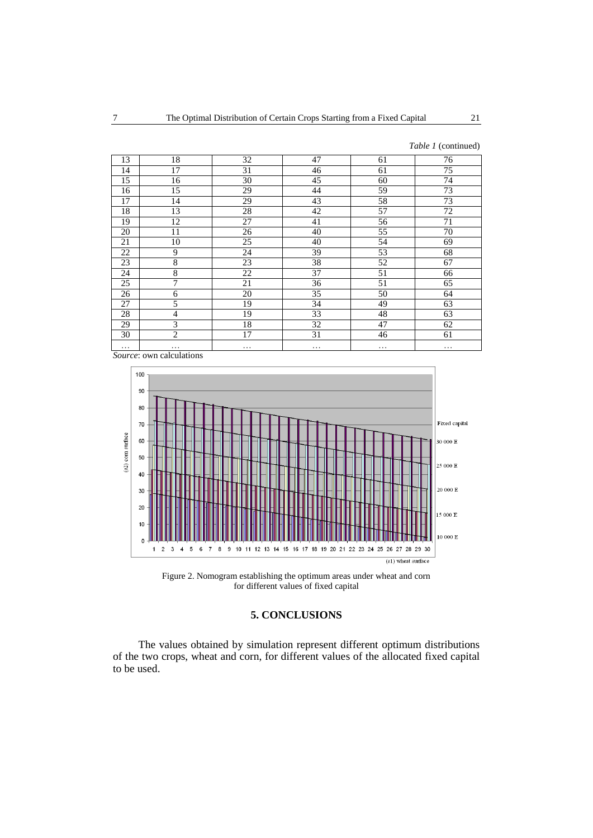*Table 1* (continued)

| 13       | 18              | 32              | 47       | 61       | 76 |
|----------|-----------------|-----------------|----------|----------|----|
| 14       | 17              | 31              | 46       | 61       | 75 |
| 15       | 16              | 30              | 45       | 60       | 74 |
| 16       | 15              | 29              | 44       | 59       | 73 |
| 17       | 14              | 29              | 43       | 58       | 73 |
| 18       | 13              | 28              | 42       | 57       | 72 |
| 19       | 12              | 27              | 41       | 56       | 71 |
| 20       | 11              | 26              | 40       | 55       | 70 |
| 21       | $\overline{10}$ | $\overline{25}$ | 40       | 54       | 69 |
| 22       | 9               | $\overline{24}$ | 39       | 53       | 68 |
| 23       | $\,8\,$         | 23              | 38       | 52       | 67 |
| 24       | 8               | 22              | 37       | 51       | 66 |
| 25       | 7               | 21              | 36       | 51       | 65 |
| 26       | 6               | 20              | 35       | 50       | 64 |
| 27       | 5               | 19              | 34       | 49       | 63 |
| 28       | $\overline{4}$  | 19              | 33       | 48       | 63 |
| 29       | 3               | 18              | 32       | 47       | 62 |
| 30       | 2               | 17              | 31       | 46       | 61 |
| $\cdots$ | .               | $\cdots$        | $\cdots$ | $\cdots$ | .  |

*Source*: own calculations



Figure 2. Nomogram establishing the optimum areas under wheat and corn for different values of fixed capital

# **5. CONCLUSIONS**

The values obtained by simulation represent different optimum distributions of the two crops, wheat and corn, for different values of the allocated fixed capital to be used.